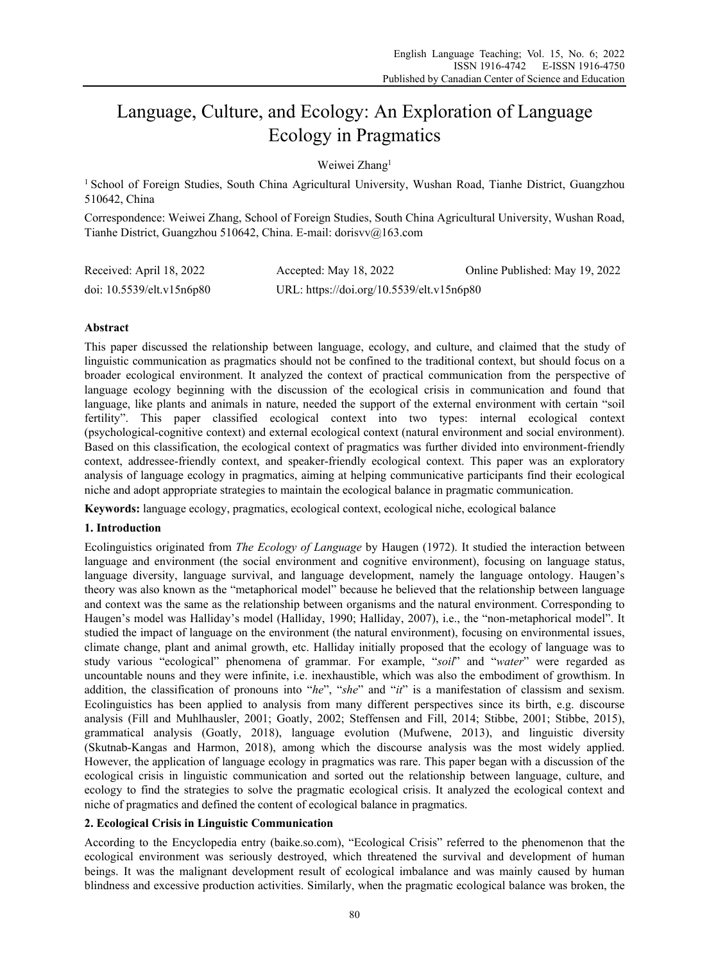# Language, Culture, and Ecology: An Exploration of Language Ecology in Pragmatics

Weiwei Zhang<sup>1</sup>

<sup>1</sup> School of Foreign Studies, South China Agricultural University, Wushan Road, Tianhe District, Guangzhou 510642, China

Correspondence: Weiwei Zhang, School of Foreign Studies, South China Agricultural University, Wushan Road, Tianhe District, Guangzhou 510642, China. E-mail: dorisvv@163.com

| Received: April 18, 2022  | Accepted: May 18, 2022                    | Online Published: May 19, 2022 |  |
|---------------------------|-------------------------------------------|--------------------------------|--|
| doi: 10.5539/elt.v15n6p80 | URL: https://doi.org/10.5539/elt.v15n6p80 |                                |  |

# **Abstract**

This paper discussed the relationship between language, ecology, and culture, and claimed that the study of linguistic communication as pragmatics should not be confined to the traditional context, but should focus on a broader ecological environment. It analyzed the context of practical communication from the perspective of language ecology beginning with the discussion of the ecological crisis in communication and found that language, like plants and animals in nature, needed the support of the external environment with certain "soil fertility". This paper classified ecological context into two types: internal ecological context (psychological-cognitive context) and external ecological context (natural environment and social environment). Based on this classification, the ecological context of pragmatics was further divided into environment-friendly context, addressee-friendly context, and speaker-friendly ecological context. This paper was an exploratory analysis of language ecology in pragmatics, aiming at helping communicative participants find their ecological niche and adopt appropriate strategies to maintain the ecological balance in pragmatic communication.

**Keywords:** language ecology, pragmatics, ecological context, ecological niche, ecological balance

## **1. Introduction**

Ecolinguistics originated from *The Ecology of Language* by Haugen (1972). It studied the interaction between language and environment (the social environment and cognitive environment), focusing on language status, language diversity, language survival, and language development, namely the language ontology. Haugen's theory was also known as the "metaphorical model" because he believed that the relationship between language and context was the same as the relationship between organisms and the natural environment. Corresponding to Haugen's model was Halliday's model (Halliday, 1990; Halliday, 2007), i.e., the "non-metaphorical model". It studied the impact of language on the environment (the natural environment), focusing on environmental issues, climate change, plant and animal growth, etc. Halliday initially proposed that the ecology of language was to study various "ecological" phenomena of grammar. For example, "*soil*" and "*water*" were regarded as uncountable nouns and they were infinite, i.e. inexhaustible, which was also the embodiment of growthism. In addition, the classification of pronouns into "*he*", "*she*" and "*it*" is a manifestation of classism and sexism. Ecolinguistics has been applied to analysis from many different perspectives since its birth, e.g. discourse analysis (Fill and Muhlhausler, 2001; Goatly, 2002; Steffensen and Fill, 2014; Stibbe, 2001; Stibbe, 2015), grammatical analysis (Goatly, 2018), language evolution (Mufwene, 2013), and linguistic diversity (Skutnab-Kangas and Harmon, 2018), among which the discourse analysis was the most widely applied. However, the application of language ecology in pragmatics was rare. This paper began with a discussion of the ecological crisis in linguistic communication and sorted out the relationship between language, culture, and ecology to find the strategies to solve the pragmatic ecological crisis. It analyzed the ecological context and niche of pragmatics and defined the content of ecological balance in pragmatics.

# **2. Ecological Crisis in Linguistic Communication**

According to the Encyclopedia entry (baike.so.com), "Ecological Crisis" referred to the phenomenon that the ecological environment was seriously destroyed, which threatened the survival and development of human beings. It was the malignant development result of ecological imbalance and was mainly caused by human blindness and excessive production activities. Similarly, when the pragmatic ecological balance was broken, the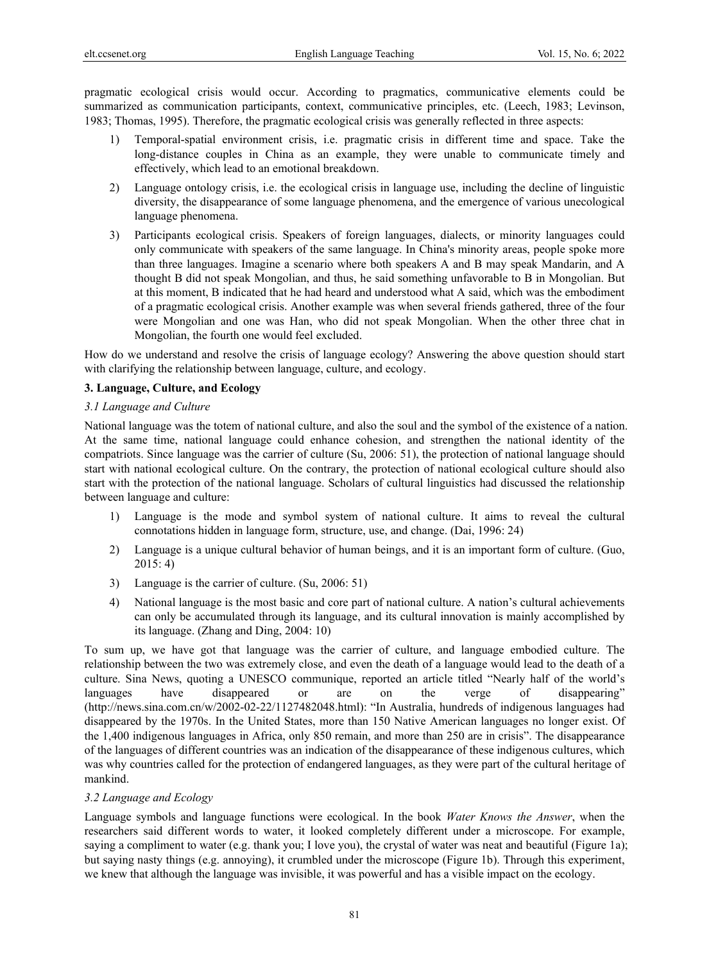pragmatic ecological crisis would occur. According to pragmatics, communicative elements could be summarized as communication participants, context, communicative principles, etc. (Leech, 1983; Levinson, 1983; Thomas, 1995). Therefore, the pragmatic ecological crisis was generally reflected in three aspects:

- 1) Temporal-spatial environment crisis, i.e. pragmatic crisis in different time and space. Take the long-distance couples in China as an example, they were unable to communicate timely and effectively, which lead to an emotional breakdown.
- 2) Language ontology crisis, i.e. the ecological crisis in language use, including the decline of linguistic diversity, the disappearance of some language phenomena, and the emergence of various unecological language phenomena.
- 3) Participants ecological crisis. Speakers of foreign languages, dialects, or minority languages could only communicate with speakers of the same language. In China's minority areas, people spoke more than three languages. Imagine a scenario where both speakers A and B may speak Mandarin, and A thought B did not speak Mongolian, and thus, he said something unfavorable to B in Mongolian. But at this moment, B indicated that he had heard and understood what A said, which was the embodiment of a pragmatic ecological crisis. Another example was when several friends gathered, three of the four were Mongolian and one was Han, who did not speak Mongolian. When the other three chat in Mongolian, the fourth one would feel excluded.

How do we understand and resolve the crisis of language ecology? Answering the above question should start with clarifying the relationship between language, culture, and ecology.

## **3. Language, Culture, and Ecology**

## *3.1 Language and Culture*

National language was the totem of national culture, and also the soul and the symbol of the existence of a nation. At the same time, national language could enhance cohesion, and strengthen the national identity of the compatriots. Since language was the carrier of culture (Su, 2006: 51), the protection of national language should start with national ecological culture. On the contrary, the protection of national ecological culture should also start with the protection of the national language. Scholars of cultural linguistics had discussed the relationship between language and culture:

- 1) Language is the mode and symbol system of national culture. It aims to reveal the cultural connotations hidden in language form, structure, use, and change. (Dai, 1996: 24)
- 2) Language is a unique cultural behavior of human beings, and it is an important form of culture. (Guo, 2015: 4)
- 3) Language is the carrier of culture. (Su, 2006: 51)
- 4) National language is the most basic and core part of national culture. A nation's cultural achievements can only be accumulated through its language, and its cultural innovation is mainly accomplished by its language. (Zhang and Ding, 2004: 10)

To sum up, we have got that language was the carrier of culture, and language embodied culture. The relationship between the two was extremely close, and even the death of a language would lead to the death of a culture. Sina News, quoting a UNESCO communique, reported an article titled "Nearly half of the world's languages have disappeared or are on the verge of disappearing" (http://news.sina.com.cn/w/2002-02-22/1127482048.html): "In Australia, hundreds of indigenous languages had disappeared by the 1970s. In the United States, more than 150 Native American languages no longer exist. Of the 1,400 indigenous languages in Africa, only 850 remain, and more than 250 are in crisis". The disappearance of the languages of different countries was an indication of the disappearance of these indigenous cultures, which was why countries called for the protection of endangered languages, as they were part of the cultural heritage of mankind.

## *3.2 Language and Ecology*

Language symbols and language functions were ecological. In the book *Water Knows the Answer*, when the researchers said different words to water, it looked completely different under a microscope. For example, saying a compliment to water (e.g. thank you; I love you), the crystal of water was neat and beautiful (Figure 1a); but saying nasty things (e.g. annoying), it crumbled under the microscope (Figure 1b). Through this experiment, we knew that although the language was invisible, it was powerful and has a visible impact on the ecology.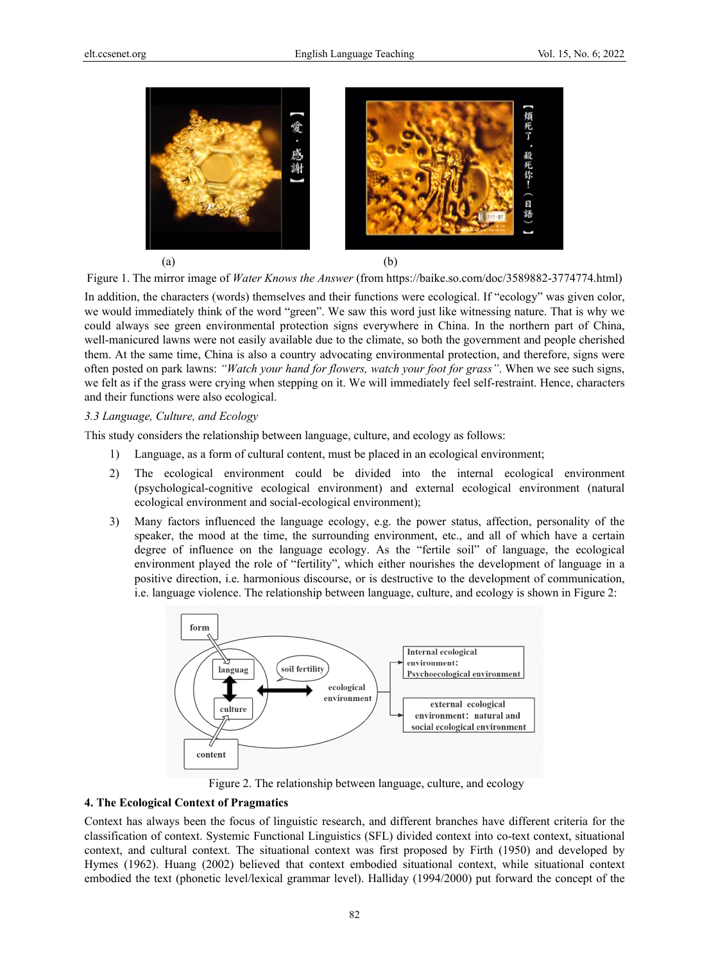

Figure 1. The mirror image of *Water Knows the Answer* (from https://baike.so.com/doc/3589882-3774774.html)

In addition, the characters (words) themselves and their functions were ecological. If "ecology" was given color, we would immediately think of the word "green". We saw this word just like witnessing nature. That is why we could always see green environmental protection signs everywhere in China. In the northern part of China, well-manicured lawns were not easily available due to the climate, so both the government and people cherished them. At the same time, China is also a country advocating environmental protection, and therefore, signs were often posted on park lawns: *"Watch your hand for flowers, watch your foot for grass"*. When we see such signs, we felt as if the grass were crying when stepping on it. We will immediately feel self-restraint. Hence, characters and their functions were also ecological.

#### *3.3 Language, Culture, and Ecology*

This study considers the relationship between language, culture, and ecology as follows:

- 1) Language, as a form of cultural content, must be placed in an ecological environment;
- 2) The ecological environment could be divided into the internal ecological environment (psychological-cognitive ecological environment) and external ecological environment (natural ecological environment and social-ecological environment);
- 3) Many factors influenced the language ecology, e.g. the power status, affection, personality of the speaker, the mood at the time, the surrounding environment, etc., and all of which have a certain degree of influence on the language ecology. As the "fertile soil" of language, the ecological environment played the role of "fertility", which either nourishes the development of language in a positive direction, i.e. harmonious discourse, or is destructive to the development of communication, i.e. language violence. The relationship between language, culture, and ecology is shown in Figure 2:



Figure 2. The relationship between language, culture, and ecology

#### **4. The Ecological Context of Pragmatics**

Context has always been the focus of linguistic research, and different branches have different criteria for the classification of context. Systemic Functional Linguistics (SFL) divided context into co-text context, situational context, and cultural context. The situational context was first proposed by Firth (1950) and developed by Hymes (1962). Huang (2002) believed that context embodied situational context, while situational context embodied the text (phonetic level/lexical grammar level). Halliday (1994/2000) put forward the concept of the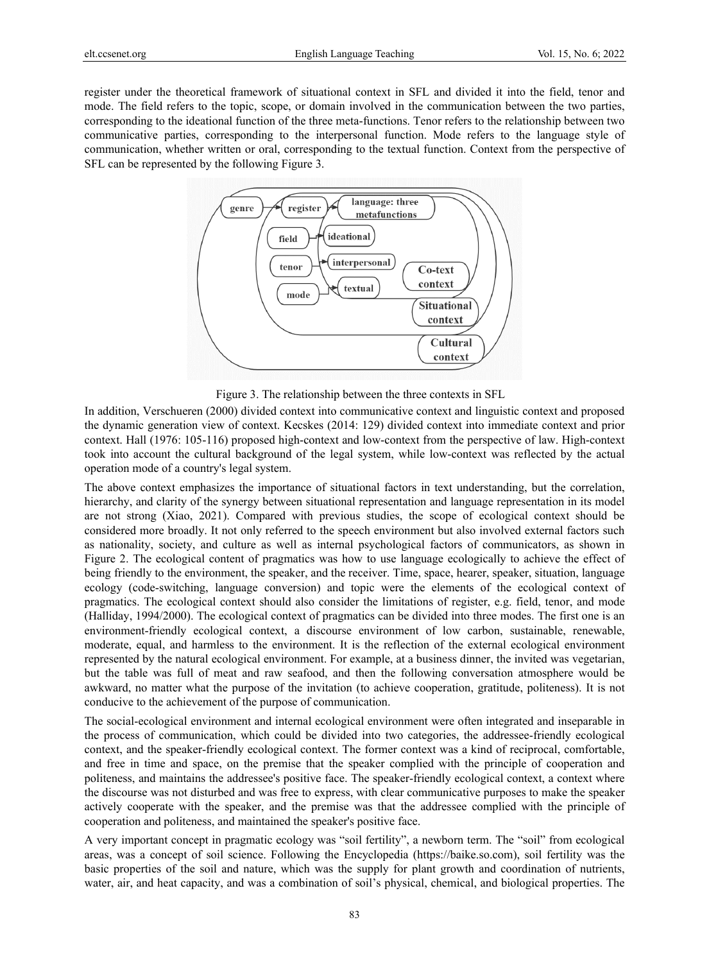register under the theoretical framework of situational context in SFL and divided it into the field, tenor and mode. The field refers to the topic, scope, or domain involved in the communication between the two parties, corresponding to the ideational function of the three meta-functions. Tenor refers to the relationship between two communicative parties, corresponding to the interpersonal function. Mode refers to the language style of communication, whether written or oral, corresponding to the textual function. Context from the perspective of SFL can be represented by the following Figure 3.



Figure 3. The relationship between the three contexts in SFL

In addition, Verschueren (2000) divided context into communicative context and linguistic context and proposed the dynamic generation view of context. Kecskes (2014: 129) divided context into immediate context and prior context. Hall (1976: 105-116) proposed high-context and low-context from the perspective of law. High-context took into account the cultural background of the legal system, while low-context was reflected by the actual operation mode of a country's legal system.

The above context emphasizes the importance of situational factors in text understanding, but the correlation, hierarchy, and clarity of the synergy between situational representation and language representation in its model are not strong (Xiao, 2021). Compared with previous studies, the scope of ecological context should be considered more broadly. It not only referred to the speech environment but also involved external factors such as nationality, society, and culture as well as internal psychological factors of communicators, as shown in Figure 2. The ecological content of pragmatics was how to use language ecologically to achieve the effect of being friendly to the environment, the speaker, and the receiver. Time, space, hearer, speaker, situation, language ecology (code-switching, language conversion) and topic were the elements of the ecological context of pragmatics. The ecological context should also consider the limitations of register, e.g. field, tenor, and mode (Halliday, 1994/2000). The ecological context of pragmatics can be divided into three modes. The first one is an environment-friendly ecological context, a discourse environment of low carbon, sustainable, renewable, moderate, equal, and harmless to the environment. It is the reflection of the external ecological environment represented by the natural ecological environment. For example, at a business dinner, the invited was vegetarian, but the table was full of meat and raw seafood, and then the following conversation atmosphere would be awkward, no matter what the purpose of the invitation (to achieve cooperation, gratitude, politeness). It is not conducive to the achievement of the purpose of communication.

The social-ecological environment and internal ecological environment were often integrated and inseparable in the process of communication, which could be divided into two categories, the addressee-friendly ecological context, and the speaker-friendly ecological context. The former context was a kind of reciprocal, comfortable, and free in time and space, on the premise that the speaker complied with the principle of cooperation and politeness, and maintains the addressee's positive face. The speaker-friendly ecological context, a context where the discourse was not disturbed and was free to express, with clear communicative purposes to make the speaker actively cooperate with the speaker, and the premise was that the addressee complied with the principle of cooperation and politeness, and maintained the speaker's positive face.

A very important concept in pragmatic ecology was "soil fertility", a newborn term. The "soil" from ecological areas, was a concept of soil science. Following the Encyclopedia (https://baike.so.com), soil fertility was the basic properties of the soil and nature, which was the supply for plant growth and coordination of nutrients, water, air, and heat capacity, and was a combination of soil's physical, chemical, and biological properties. The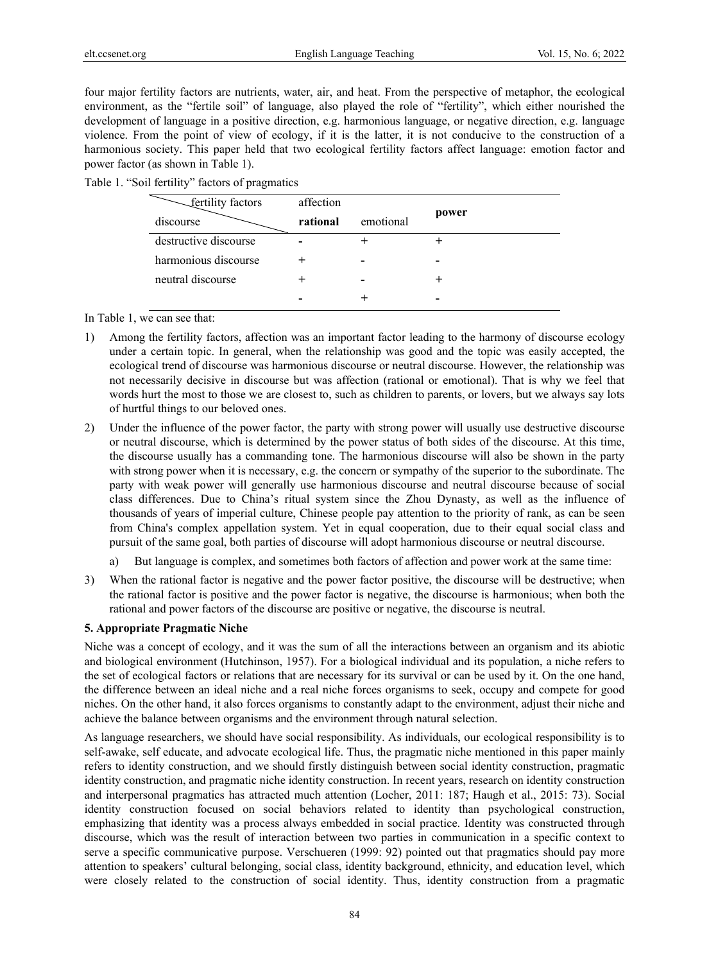four major fertility factors are nutrients, water, air, and heat. From the perspective of metaphor, the ecological environment, as the "fertile soil" of language, also played the role of "fertility", which either nourished the development of language in a positive direction, e.g. harmonious language, or negative direction, e.g. language violence. From the point of view of ecology, if it is the latter, it is not conducive to the construction of a harmonious society. This paper held that two ecological fertility factors affect language: emotion factor and power factor (as shown in Table 1).

|  |  | Table 1. "Soil fertility" factors of pragmatics |  |  |  |
|--|--|-------------------------------------------------|--|--|--|
|--|--|-------------------------------------------------|--|--|--|

| fertility factors     | affection |           |       |  |
|-----------------------|-----------|-----------|-------|--|
| discourse             | rational  | emotional | power |  |
| destructive discourse |           |           |       |  |
| harmonious discourse  |           |           |       |  |
| neutral discourse     |           |           |       |  |
|                       |           |           |       |  |

In Table 1, we can see that:

- 1) Among the fertility factors, affection was an important factor leading to the harmony of discourse ecology under a certain topic. In general, when the relationship was good and the topic was easily accepted, the ecological trend of discourse was harmonious discourse or neutral discourse. However, the relationship was not necessarily decisive in discourse but was affection (rational or emotional). That is why we feel that words hurt the most to those we are closest to, such as children to parents, or lovers, but we always say lots of hurtful things to our beloved ones.
- 2) Under the influence of the power factor, the party with strong power will usually use destructive discourse or neutral discourse, which is determined by the power status of both sides of the discourse. At this time, the discourse usually has a commanding tone. The harmonious discourse will also be shown in the party with strong power when it is necessary, e.g. the concern or sympathy of the superior to the subordinate. The party with weak power will generally use harmonious discourse and neutral discourse because of social class differences. Due to China's ritual system since the Zhou Dynasty, as well as the influence of thousands of years of imperial culture, Chinese people pay attention to the priority of rank, as can be seen from China's complex appellation system. Yet in equal cooperation, due to their equal social class and pursuit of the same goal, both parties of discourse will adopt harmonious discourse or neutral discourse.
	- But language is complex, and sometimes both factors of affection and power work at the same time:
- 3) When the rational factor is negative and the power factor positive, the discourse will be destructive; when the rational factor is positive and the power factor is negative, the discourse is harmonious; when both the rational and power factors of the discourse are positive or negative, the discourse is neutral.

## **5. Appropriate Pragmatic Niche**

Niche was a concept of ecology, and it was the sum of all the interactions between an organism and its abiotic and biological environment (Hutchinson, 1957). For a biological individual and its population, a niche refers to the set of ecological factors or relations that are necessary for its survival or can be used by it. On the one hand, the difference between an ideal niche and a real niche forces organisms to seek, occupy and compete for good niches. On the other hand, it also forces organisms to constantly adapt to the environment, adjust their niche and achieve the balance between organisms and the environment through natural selection.

As language researchers, we should have social responsibility. As individuals, our ecological responsibility is to self-awake, self educate, and advocate ecological life. Thus, the pragmatic niche mentioned in this paper mainly refers to identity construction, and we should firstly distinguish between social identity construction, pragmatic identity construction, and pragmatic niche identity construction. In recent years, research on identity construction and interpersonal pragmatics has attracted much attention (Locher, 2011: 187; Haugh et al., 2015: 73). Social identity construction focused on social behaviors related to identity than psychological construction, emphasizing that identity was a process always embedded in social practice. Identity was constructed through discourse, which was the result of interaction between two parties in communication in a specific context to serve a specific communicative purpose. Verschueren (1999: 92) pointed out that pragmatics should pay more attention to speakers' cultural belonging, social class, identity background, ethnicity, and education level, which were closely related to the construction of social identity. Thus, identity construction from a pragmatic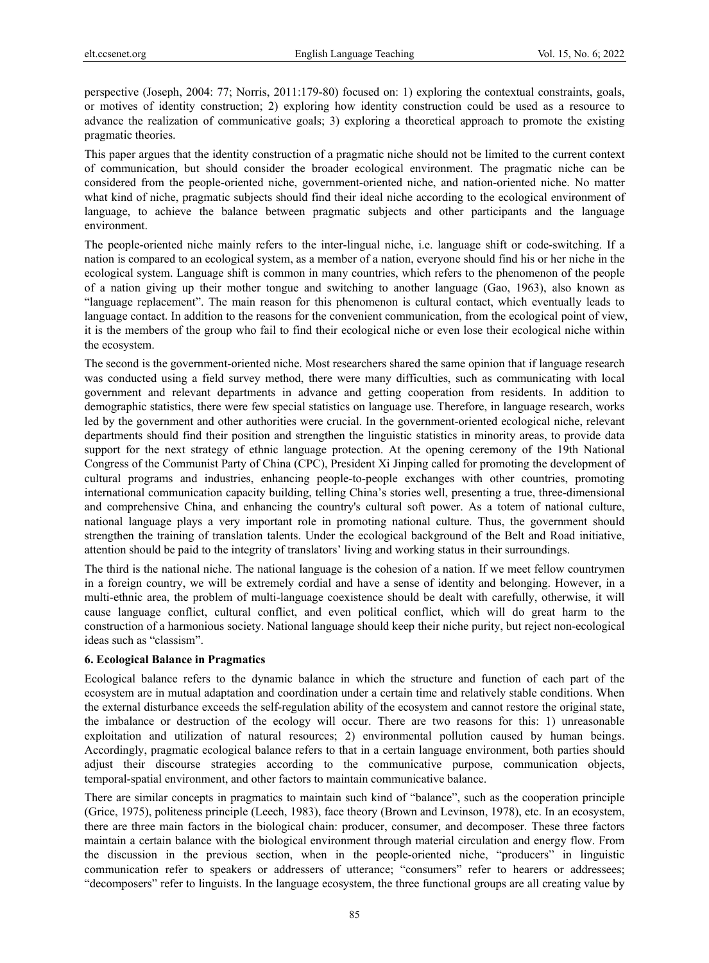perspective (Joseph, 2004: 77; Norris, 2011:179-80) focused on: 1) exploring the contextual constraints, goals, or motives of identity construction; 2) exploring how identity construction could be used as a resource to advance the realization of communicative goals; 3) exploring a theoretical approach to promote the existing pragmatic theories.

This paper argues that the identity construction of a pragmatic niche should not be limited to the current context of communication, but should consider the broader ecological environment. The pragmatic niche can be considered from the people-oriented niche, government-oriented niche, and nation-oriented niche. No matter what kind of niche, pragmatic subjects should find their ideal niche according to the ecological environment of language, to achieve the balance between pragmatic subjects and other participants and the language environment.

The people-oriented niche mainly refers to the inter-lingual niche, i.e. language shift or code-switching. If a nation is compared to an ecological system, as a member of a nation, everyone should find his or her niche in the ecological system. Language shift is common in many countries, which refers to the phenomenon of the people of a nation giving up their mother tongue and switching to another language (Gao, 1963), also known as "language replacement". The main reason for this phenomenon is cultural contact, which eventually leads to language contact. In addition to the reasons for the convenient communication, from the ecological point of view, it is the members of the group who fail to find their ecological niche or even lose their ecological niche within the ecosystem.

The second is the government-oriented niche. Most researchers shared the same opinion that if language research was conducted using a field survey method, there were many difficulties, such as communicating with local government and relevant departments in advance and getting cooperation from residents. In addition to demographic statistics, there were few special statistics on language use. Therefore, in language research, works led by the government and other authorities were crucial. In the government-oriented ecological niche, relevant departments should find their position and strengthen the linguistic statistics in minority areas, to provide data support for the next strategy of ethnic language protection. At the opening ceremony of the 19th National Congress of the Communist Party of China (CPC), President Xi Jinping called for promoting the development of cultural programs and industries, enhancing people-to-people exchanges with other countries, promoting international communication capacity building, telling China's stories well, presenting a true, three-dimensional and comprehensive China, and enhancing the country's cultural soft power. As a totem of national culture, national language plays a very important role in promoting national culture. Thus, the government should strengthen the training of translation talents. Under the ecological background of the Belt and Road initiative, attention should be paid to the integrity of translators' living and working status in their surroundings.

The third is the national niche. The national language is the cohesion of a nation. If we meet fellow countrymen in a foreign country, we will be extremely cordial and have a sense of identity and belonging. However, in a multi-ethnic area, the problem of multi-language coexistence should be dealt with carefully, otherwise, it will cause language conflict, cultural conflict, and even political conflict, which will do great harm to the construction of a harmonious society. National language should keep their niche purity, but reject non-ecological ideas such as "classism".

#### **6. Ecological Balance in Pragmatics**

Ecological balance refers to the dynamic balance in which the structure and function of each part of the ecosystem are in mutual adaptation and coordination under a certain time and relatively stable conditions. When the external disturbance exceeds the self-regulation ability of the ecosystem and cannot restore the original state, the imbalance or destruction of the ecology will occur. There are two reasons for this: 1) unreasonable exploitation and utilization of natural resources; 2) environmental pollution caused by human beings. Accordingly, pragmatic ecological balance refers to that in a certain language environment, both parties should adjust their discourse strategies according to the communicative purpose, communication objects, temporal-spatial environment, and other factors to maintain communicative balance.

There are similar concepts in pragmatics to maintain such kind of "balance", such as the cooperation principle (Grice, 1975), politeness principle (Leech, 1983), face theory (Brown and Levinson, 1978), etc. In an ecosystem, there are three main factors in the biological chain: producer, consumer, and decomposer. These three factors maintain a certain balance with the biological environment through material circulation and energy flow. From the discussion in the previous section, when in the people-oriented niche, "producers" in linguistic communication refer to speakers or addressers of utterance; "consumers" refer to hearers or addressees; "decomposers" refer to linguists. In the language ecosystem, the three functional groups are all creating value by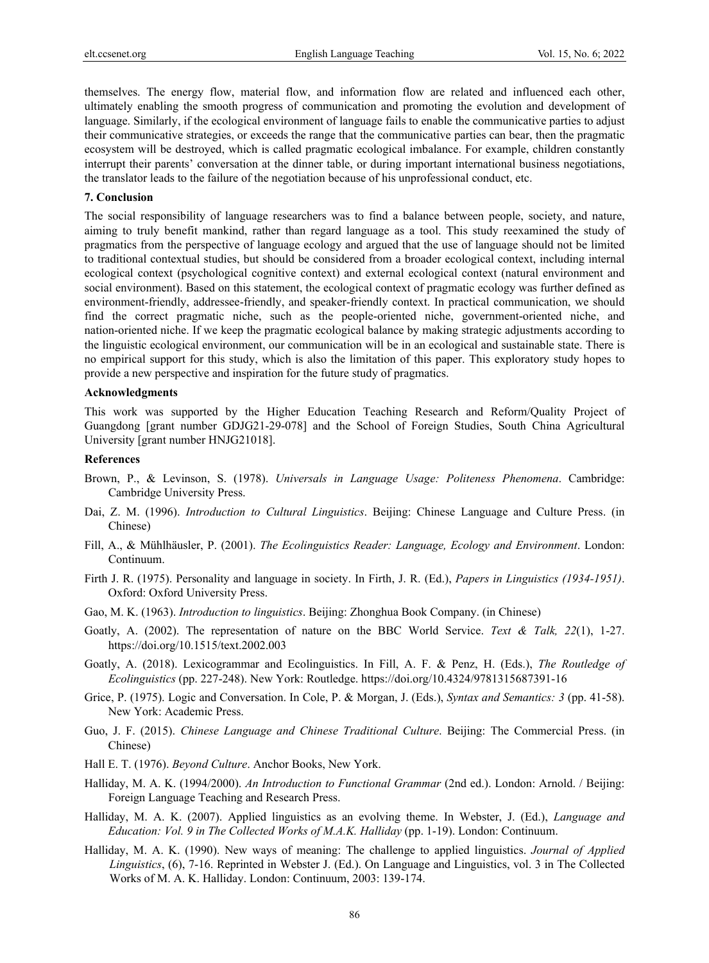themselves. The energy flow, material flow, and information flow are related and influenced each other, ultimately enabling the smooth progress of communication and promoting the evolution and development of language. Similarly, if the ecological environment of language fails to enable the communicative parties to adjust their communicative strategies, or exceeds the range that the communicative parties can bear, then the pragmatic ecosystem will be destroyed, which is called pragmatic ecological imbalance. For example, children constantly interrupt their parents' conversation at the dinner table, or during important international business negotiations, the translator leads to the failure of the negotiation because of his unprofessional conduct, etc.

#### **7. Conclusion**

The social responsibility of language researchers was to find a balance between people, society, and nature, aiming to truly benefit mankind, rather than regard language as a tool. This study reexamined the study of pragmatics from the perspective of language ecology and argued that the use of language should not be limited to traditional contextual studies, but should be considered from a broader ecological context, including internal ecological context (psychological cognitive context) and external ecological context (natural environment and social environment). Based on this statement, the ecological context of pragmatic ecology was further defined as environment-friendly, addressee-friendly, and speaker-friendly context. In practical communication, we should find the correct pragmatic niche, such as the people-oriented niche, government-oriented niche, and nation-oriented niche. If we keep the pragmatic ecological balance by making strategic adjustments according to the linguistic ecological environment, our communication will be in an ecological and sustainable state. There is no empirical support for this study, which is also the limitation of this paper. This exploratory study hopes to provide a new perspective and inspiration for the future study of pragmatics.

#### **Acknowledgments**

This work was supported by the Higher Education Teaching Research and Reform/Quality Project of Guangdong [grant number GDJG21-29-078] and the School of Foreign Studies, South China Agricultural University [grant number HNJG21018].

## **References**

- Brown, P., & Levinson, S. (1978). *Universals in Language Usage: Politeness Phenomena*. Cambridge: Cambridge University Press.
- Dai, Z. M. (1996). *Introduction to Cultural Linguistics*. Beijing: Chinese Language and Culture Press. (in Chinese)
- Fill, A., & Mühlhäusler, P. (2001). *The Ecolinguistics Reader: Language, Ecology and Environment*. London: Continuum.
- Firth J. R. (1975). Personality and language in society. In Firth, J. R. (Ed.), *Papers in Linguistics (1934-1951)*. Oxford: Oxford University Press.
- Gao, M. K. (1963). *Introduction to linguistics*. Beijing: Zhonghua Book Company. (in Chinese)
- Goatly, A. (2002). The representation of nature on the BBC World Service. *Text & Talk, 22*(1), 1-27. https://doi.org/10.1515/text.2002.003
- Goatly, A. (2018). Lexicogrammar and Ecolinguistics. In Fill, A. F. & Penz, H. (Eds.), *The Routledge of Ecolinguistics* (pp. 227-248). New York: Routledge. https://doi.org/10.4324/9781315687391-16
- Grice, P. (1975). Logic and Conversation. In Cole, P. & Morgan, J. (Eds.), *Syntax and Semantics: 3* (pp. 41-58). New York: Academic Press.
- Guo, J. F. (2015). *Chinese Language and Chinese Traditional Culture*. Beijing: The Commercial Press. (in Chinese)
- Hall E. T. (1976). *Beyond Culture*. Anchor Books, New York.
- Halliday, M. A. K. (1994/2000). *An Introduction to Functional Grammar* (2nd ed.). London: Arnold. / Beijing: Foreign Language Teaching and Research Press.
- Halliday, M. A. K. (2007). Applied linguistics as an evolving theme. In Webster, J. (Ed.), *Language and Education: Vol. 9 in The Collected Works of M.A.K. Halliday* (pp. 1-19). London: Continuum.
- Halliday, M. A. K. (1990). New ways of meaning: The challenge to applied linguistics. *Journal of Applied Linguistics*, (6), 7-16. Reprinted in Webster J. (Ed.). On Language and Linguistics, vol. 3 in The Collected Works of M. A. K. Halliday. London: Continuum, 2003: 139-174.